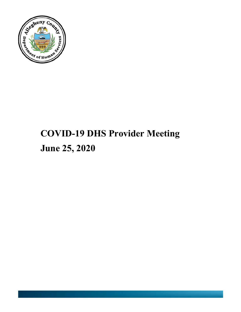

# **COVID-19 DHS Provider Meeting June 25, 2020**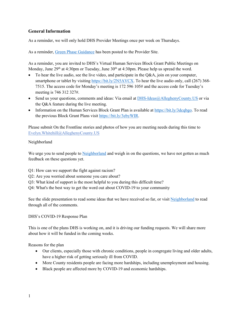#### **General Information**

As a reminder, we will only hold DHS Provider Meetings once per week on Thursdays.

As a reminder, [Green Phase Guidance](https://dhstraumaresourcelibrary.alleghenycounty.us/covid-19-information-for-dhs-providers/phase-guidelines/) has been posted to the Provider Site.

As a reminder, you are invited to DHS's Virtual Human Services Block Grant Public Meetings on Monday, June 29<sup>th</sup> at 4:30pm or Tuesday, June 30<sup>th</sup> at 4:30pm. Please help us spread the word.

- To hear the live audio, see the live video, and participate in the Q&A, join on your computer, smartphone or tablet by visitin[g https://bit.ly/2N5AVCX.](https://bit.ly/2N5AVCX) To hear the live audio only, call (267) 368-7515. The access code for Monday's meeting is 172 596 105# and the access code for Tuesday's meeting is 746 312 327#.
- Send us your questions, comments and ideas: Via email at [DHS-Ideas@AlleghenyCounty.US](mailto:DHS-Ideas@AlleghenyCounty.US) or via the Q&A feature during the live meeting.
- Information on the Human Services Block Grant Plan is available a[t https://bit.ly/3dcqbgo.](https://bit.ly/3dcqbgo) To read the previous Block Grant Plans visit [https://bit.ly/3ebyWIR.](https://bit.ly/3ebyWIR)

Please submit On the Frontline stories and photos of how you are meeting needs during this time to [Evelyn.Whitehill@AlleghenyCounty.US](mailto:Evelyn.Whitehill@AlleghenyCounty.US)

#### Neighborland

We urge you to send people to [Neighborland](https://neighborland.com/alleghenycounty) and weigh in on the questions, we have not gotten as much feedback on these questions yet.

- Q1: How can we support the fight against racism?
- Q2: Are you worried about someone you care about?
- Q3: What kind of support is the most helpful to you during this difficult time?
- Q4: What's the best way to get the word out about COVID-19 to your community

See the slide presentation to read some ideas that we have received so far, or visit [Neighborland](https://neighborland.com/alleghenycounty) to read through all of the comments.

#### DHS's COVID-19 Response Plan

This is one of the plans DHS is working on, and it is driving our funding requests. We will share more about how it will be funded in the coming weeks.

Reasons for the plan

- Our clients, especially those with chronic conditions, people in congregate living and older adults, have a higher risk of getting seriously ill from COVID.
- More County residents people are facing more hardships, including unemployment and housing.
- Black people are affected more by COVID-19 and economic hardships.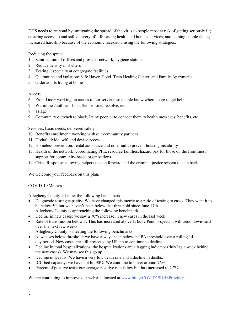DHS needs to respond by: mitigating the spread of the virus to people most at risk of getting seriously ill; ensuring access to and safe delivery of, life-saving health and human services; and helping people facing increased hardship because of the economic recession, using the following strategies:

Reducing the spread

- 1. Sanitization: of offices and provider network, hygiene stations
- 2. Reduce density in shelters
- 3. Testing: especially at congregate facilities
- 4. Quarantine and isolation: Safe Haven Hotel, Teen Healing Center, and Family Apartments
- 5. Older adults living at home

#### Access

- 6. Front Door: working on access to our services so people know where to go to get help
- 7. Warmlines/hotlines: Link, Senior Line, re:solve, etc.
- 8. Triage
- 9. Community outreach to black, latinx people: to connect them to health messages, benefits, etc.

Services, basic needs, delivered safely

- 10. Benefits enrollment: working with our community partners
- 11. Digital divide: wifi and device access
- 12. Homeless prevention: rental assistance and other aid to prevent housing instability
- 13. Health of the network: coordinating PPE, resource families, hazard pay for those on the frontlines, support for community-based organizations
- 14. Crisis Response: allowing helpers to step forward and the criminal justice system to step back

We welcome your feedback on this plan.

#### COVID-19 Metrics

Allegheny County is below the following benchmark: 

- Diagnostic testing capacity: We have changed this metric to a ratio of testing to cases. They want it to be below 50, but we haven't been below that threshold since June 17th Allegheny County is approaching the following benchmark:
- Decline in new cases: we saw a 70% increase in new cases in the last week
- Rate of transmission below 1: This has increased above 1, but UPenn projects it will trend downward over the next few weeks.

Allegheny County is meeting the following benchmarks: 

- New cases below threshold: we have always been below the PA threshold over a rolling 14 day period. New cases are still projected by UPenn to continue to decline.
- Decline in total hospitalizations: the hospitalizations are a lagging indicator (they lag a week behind the new cases). We may see this go up.
- Decline in Deaths: We have a very low death rate and a decline in deaths.
- ICU bed capacity: we have not hit 90%. We continue to hover around 76%.
- Percent of positive tests: our average positive rate is low but has increased to 2.7%.

We are continuing to improve our website, located at [www.bit.ly/COVID19DHSProviders.](http://www.bit.ly/COVID19DHSProviders)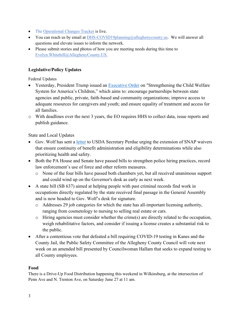- The [Operational Changes Tracker](https://tableau.alleghenycounty.us/t/PublicSite/views/AlleghenyCountyHumanServicesOperationalChangesTracker/LandingPage?iframeSizedToWindow=true&%3Aembed=y&%3AshowAppBanner=false&%3Adisplay_count=no&%3AshowVizHome=no&%3Aorigin=viz_share_link#1) is live.
- You can reach us by email at [DHS-COVID19planning@alleghenycounty.us.](mailto:DHS-COVID19planning@alleghenycounty.us) We will answer all questions and elevate issues to inform the network.
- Please submit stories and photos of how you are meeting needs during this time to [Evelyn.Whitehill@AlleghenyCounty.US.](mailto:Evelyn.Whitehill@AlleghenyCounty.US)

# **Legislative/Policy Updates**

Federal Updates

- Yesterday, President Trump issued an [Executive Order](https://www.whitehouse.gov/presidential-actions/executive-order-strengthening-child-welfare-system-americas-children/) on "Strengthening the Child Welfare System for America's Children," which aims to: encourage partnerships between state agencies and public, private, faith-based and community organizations; improve access to adequate resources for caregivers and youth; and ensure equality of treatment and access for all families.
- o With deadlines over the next 3 years, the EO requires HHS to collect data, issue reports and publish guidance.

State and Local Updates

- Gov. Wolf has sent a [letter](https://www.dhs.pa.gov/about/Documents/DHS%20Executive%20Communications/2020.6.23%20TWW%20USDA%20SNAP%20Notice.pdf) to USDA Secretary Perdue urging the extension of SNAP waivers that ensure continuity of benefit administration and eligibility determinations while also prioritizing health and safety.
- Both the PA House and Senate have passed bills to strengthen police hiring practices, record law enforcement's use of force and other reform measures.
	- o None of the four bills have passed both chambers yet, but all received unanimous support and could wind up on the Governor's desk as early as next week.
- A state bill (SB 637) aimed at helping people with past criminal records find work in occupations directly regulated by the state received final passage in the General Assembly and is now headed to Gov. Wolf's desk for signature.
	- o Addresses 29 job categories for which the state has all-important licensing authority, ranging from cosmetology to nursing to selling real estate or cars.
	- $\circ$  Hiring agencies must consider whether the crime(s) are directly related to the occupation, weigh rehabilitative factors, and consider if issuing a license creates a substantial risk to the public.
- After a contentious vote that defeated a bill requiring COVID-19 testing in Kanes and the County Jail, the Public Safety Committee of the Allegheny County Council will vote next week on an amended bill presented by Councilwoman Hallam that seeks to expand testing to all County employees.

#### **Food**

There is a Drive-Up Food Distribution happening this weekend in Wilkinsburg, at the intersection of Penn Ave and N. Trenton Ave, on Saturday June 27 at 11 am.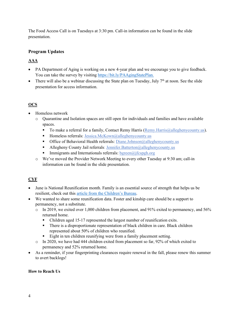The Food Access Call is on Tuesdays at 3:30 pm. Call-in information can be found in the slide presentation.

## **Program Updates**

# **AAA**

- PA Department of Aging is working on a new 4-year plan and we encourage you to give feedback. You can take the survey by visiting [https://bit.ly/PAAgingStatePlan.](https://bit.ly/PAAgingStatePlan)
- There will also be a webinar discussing the State plan on Tuesday, July  $7<sup>th</sup>$  at noon. See the slide presentation for access information.

## **OCS**

- Homeless network
	- o Quarantine and Isolation spaces are still open for individuals and families and have available spaces.
		- To make a referral for a family, Contact Remy Harris  $(Remy, Harris@alleghenvcounty.us)$ .
		- $\blacksquare$  Homeless referrals: [Jessica.McKown@alleghenycounty.us](mailto:Jessica.Mckown@alleghenycounty.us)
		- Office of Behavioral Health referrals: [Diane.Johnson@alleghenycounty.us](mailto:Diane.Johnson@alleghenycounty.us)
		- Allegheny County Jail referrals: [Jennifer.Batterton@alleghenycounty.us](mailto:Jennifer.Batterton@alleghenycounty.us)
		- Immigrants and Internationals referrals:  $bgreen(\widehat{a})$  if cspgh.org
	- o We've moved the Provider Network Meeting to every other Tuesday at 9:30 am; call-in information can be found in the slide presentation.

# **CYF**

- June is National Reunification month. Family is an essential source of strength that helps us be resilient, check out this [article from the Children's Bureau.](https://cbexpress.acf.hhs.gov/index.cfm?event=website.viewArticles&issueid=217§ionid=2&articleid=5593)
- We wanted to share some reunification data. Foster and kinship care should be a support to permanency, not a substitute.
	- o In 2019, we exited over 1,000 children from placement, and 91% exited to permanency, and 56% returned home.
		- Children aged 15-17 represented the largest number of reunification exits.
		- There is a disproportionate representation of black children in care. Black children represented about 50% of children who reunified.
		- Eight in ten children reunifying were from a family placement setting.
	- o In 2020, we have had 444 children exited from placement so far, 92% of which exited to permanency and 52% returned home.
- As a reminder, if your fingerprinting clearances require renewal in the fall, please renew this summer to avert backlogs!

#### **How to Reach Us**